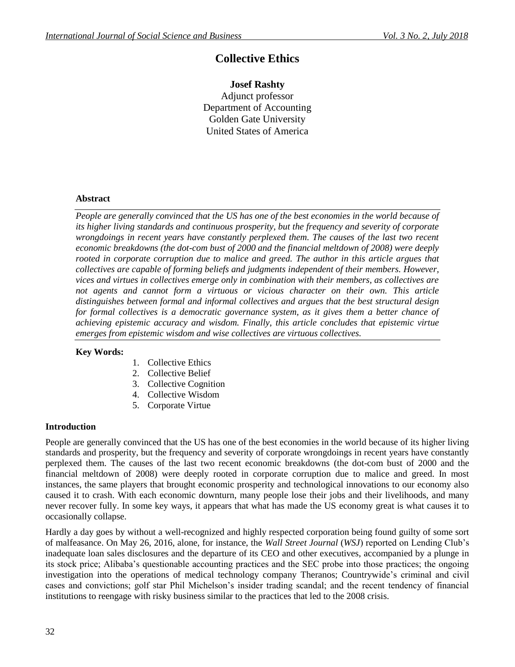# **Collective Ethics**

# **Josef Rashty**

Adjunct professor Department of Accounting Golden Gate University United States of America

## **Abstract**

*People are generally convinced that the US has one of the best economies in the world because of its higher living standards and continuous prosperity, but the frequency and severity of corporate wrongdoings in recent years have constantly perplexed them. The causes of the last two recent economic breakdowns (the dot-com bust of 2000 and the financial meltdown of 2008) were deeply rooted in corporate corruption due to malice and greed. The author in this article argues that collectives are capable of forming beliefs and judgments independent of their members. However, vices and virtues in collectives emerge only in combination with their members, as collectives are not agents and cannot form a virtuous or vicious character on their own. This article distinguishes between formal and informal collectives and argues that the best structural design for formal collectives is a democratic governance system, as it gives them a better chance of achieving epistemic accuracy and wisdom. Finally, this article concludes that epistemic virtue emerges from epistemic wisdom and wise collectives are virtuous collectives.*

## **Key Words:**

- 1. Collective Ethics
- 2. Collective Belief
- 3. Collective Cognition
- 4. Collective Wisdom
- 5. Corporate Virtue

## **Introduction**

People are generally convinced that the US has one of the best economies in the world because of its higher living standards and prosperity, but the frequency and severity of corporate wrongdoings in recent years have constantly perplexed them. The causes of the last two recent economic breakdowns (the dot-com bust of 2000 and the financial meltdown of 2008) were deeply rooted in corporate corruption due to malice and greed. In most instances, the same players that brought economic prosperity and technological innovations to our economy also caused it to crash. With each economic downturn, many people lose their jobs and their livelihoods, and many never recover fully. In some key ways, it appears that what has made the US economy great is what causes it to occasionally collapse.

Hardly a day goes by without a well-recognized and highly respected corporation being found guilty of some sort of malfeasance. On May 26, 2016, alone, for instance, the *Wall Street Journal* (*WSJ*) reported on Lending Club's inadequate loan sales disclosures and the departure of its CEO and other executives, accompanied by a plunge in its stock price; Alibaba's questionable accounting practices and the SEC probe into those practices; the ongoing investigation into the operations of medical technology company Theranos; Countrywide's criminal and civil cases and convictions; golf star Phil Michelson's insider trading scandal; and the recent tendency of financial institutions to reengage with risky business similar to the practices that led to the 2008 crisis.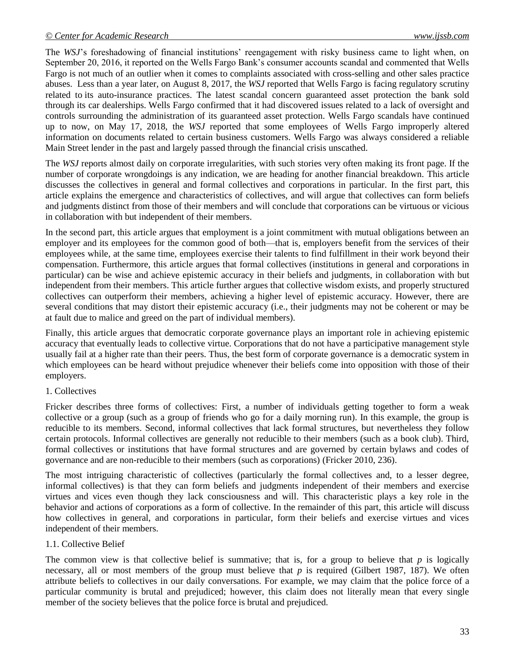The *WSJ*'s foreshadowing of financial institutions' reengagement with risky business came to light when, on September 20, 2016, it reported on the Wells Fargo Bank's consumer accounts scandal and commented that Wells Fargo is not much of an outlier when it comes to complaints associated with cross-selling and other sales practice abuses. Less than a year later, on August 8, 2017, the *WSJ* reported that Wells Fargo is facing regulatory scrutiny related to its auto-insurance practices. The latest scandal concern guaranteed asset protection the bank sold through its car dealerships. Wells Fargo confirmed that it had discovered issues related to a lack of oversight and controls surrounding the administration of its guaranteed asset protection. Wells Fargo scandals have continued up to now, on May 17, 2018, the *WSJ* reported that some employees of Wells Fargo improperly altered information on documents related to certain business customers. Wells Fargo was always considered a reliable Main Street lender in the past and largely passed through the financial crisis unscathed.

The *WSJ* reports almost daily on corporate irregularities, with such stories very often making its front page. If the number of corporate wrongdoings is any indication, we are heading for another financial breakdown. This article discusses the collectives in general and formal collectives and corporations in particular. In the first part, this article explains the emergence and characteristics of collectives, and will argue that collectives can form beliefs and judgments distinct from those of their members and will conclude that corporations can be virtuous or vicious in collaboration with but independent of their members.

In the second part, this article argues that employment is a joint commitment with mutual obligations between an employer and its employees for the common good of both—that is, employers benefit from the services of their employees while, at the same time, employees exercise their talents to find fulfillment in their work beyond their compensation. Furthermore, this article argues that formal collectives (institutions in general and corporations in particular) can be wise and achieve epistemic accuracy in their beliefs and judgments, in collaboration with but independent from their members. This article further argues that collective wisdom exists, and properly structured collectives can outperform their members, achieving a higher level of epistemic accuracy. However, there are several conditions that may distort their epistemic accuracy (i.e., their judgments may not be coherent or may be at fault due to malice and greed on the part of individual members).

Finally, this article argues that democratic corporate governance plays an important role in achieving epistemic accuracy that eventually leads to collective virtue. Corporations that do not have a participative management style usually fail at a higher rate than their peers. Thus, the best form of corporate governance is a democratic system in which employees can be heard without prejudice whenever their beliefs come into opposition with those of their employers.

## 1. Collectives

Fricker describes three forms of collectives: First, a number of individuals getting together to form a weak collective or a group (such as a group of friends who go for a daily morning run). In this example, the group is reducible to its members. Second, informal collectives that lack formal structures, but nevertheless they follow certain protocols. Informal collectives are generally not reducible to their members (such as a book club). Third, formal collectives or institutions that have formal structures and are governed by certain bylaws and codes of governance and are non-reducible to their members (such as corporations) (Fricker 2010, 236).

The most intriguing characteristic of collectives (particularly the formal collectives and, to a lesser degree, informal collectives) is that they can form beliefs and judgments independent of their members and exercise virtues and vices even though they lack consciousness and will. This characteristic plays a key role in the behavior and actions of corporations as a form of collective. In the remainder of this part, this article will discuss how collectives in general, and corporations in particular, form their beliefs and exercise virtues and vices independent of their members.

## 1.1. Collective Belief

The common view is that collective belief is summative; that is, for a group to believe that *p* is logically necessary, all or most members of the group must believe that *p* is required (Gilbert 1987, 187). We often attribute beliefs to collectives in our daily conversations. For example, we may claim that the police force of a particular community is brutal and prejudiced; however, this claim does not literally mean that every single member of the society believes that the police force is brutal and prejudiced.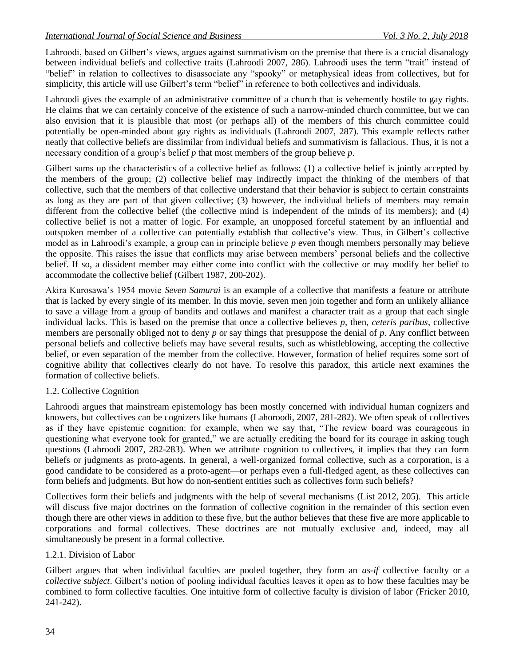Lahroodi, based on Gilbert's views, argues against summativism on the premise that there is a crucial disanalogy between individual beliefs and collective traits (Lahroodi 2007, 286). Lahroodi uses the term "trait" instead of "belief" in relation to collectives to disassociate any "spooky" or metaphysical ideas from collectives, but for simplicity, this article will use Gilbert's term "belief" in reference to both collectives and individuals.

Lahroodi gives the example of an administrative committee of a church that is vehemently hostile to gay rights. He claims that we can certainly conceive of the existence of such a narrow-minded church committee, but we can also envision that it is plausible that most (or perhaps all) of the members of this church committee could potentially be open-minded about gay rights as individuals (Lahroodi 2007, 287). This example reflects rather neatly that collective beliefs are dissimilar from individual beliefs and summativism is fallacious. Thus, it is not a necessary condition of a group's belief *p* that most members of the group believe *p*.

Gilbert sums up the characteristics of a collective belief as follows: (1) a collective belief is jointly accepted by the members of the group; (2) collective belief may indirectly impact the thinking of the members of that collective, such that the members of that collective understand that their behavior is subject to certain constraints as long as they are part of that given collective; (3) however, the individual beliefs of members may remain different from the collective belief (the collective mind is independent of the minds of its members); and (4) collective belief is not a matter of logic. For example, an unopposed forceful statement by an influential and outspoken member of a collective can potentially establish that collective's view. Thus, in Gilbert's collective model as in Lahroodi's example, a group can in principle believe *p* even though members personally may believe the opposite. This raises the issue that conflicts may arise between members' personal beliefs and the collective belief. If so, a dissident member may either come into conflict with the collective or may modify her belief to accommodate the collective belief (Gilbert 1987, 200-202).

Akira Kurosawa's 1954 movie *Seven Samurai* is an example of a collective that manifests a feature or attribute that is lacked by every single of its member. In this movie, seven men join together and form an unlikely alliance to save a village from a group of bandits and outlaws and manifest a character trait as a group that each single individual lacks. This is based on the premise that once a collective believes *p*, then, *ceteris paribus*, collective members are personally obliged not to deny *p* or say things that presuppose the denial of *p*. Any conflict between personal beliefs and collective beliefs may have several results, such as whistleblowing, accepting the collective belief, or even separation of the member from the collective. However, formation of belief requires some sort of cognitive ability that collectives clearly do not have. To resolve this paradox, this article next examines the formation of collective beliefs.

# 1.2. Collective Cognition

Lahroodi argues that mainstream epistemology has been mostly concerned with individual human cognizers and knowers, but collectives can be cognizers like humans (Lahoroodi, 2007, 281-282). We often speak of collectives as if they have epistemic cognition: for example, when we say that, "The review board was courageous in questioning what everyone took for granted," we are actually crediting the board for its courage in asking tough questions (Lahroodi 2007, 282-283). When we attribute cognition to collectives, it implies that they can form beliefs or judgments as proto-agents. In general, a well-organized formal collective, such as a corporation, is a good candidate to be considered as a proto-agent—or perhaps even a full-fledged agent, as these collectives can form beliefs and judgments. But how do non-sentient entities such as collectives form such beliefs?

Collectives form their beliefs and judgments with the help of several mechanisms (List 2012, 205). This article will discuss five major doctrines on the formation of collective cognition in the remainder of this section even though there are other views in addition to these five, but the author believes that these five are more applicable to corporations and formal collectives. These doctrines are not mutually exclusive and, indeed, may all simultaneously be present in a formal collective.

## 1.2.1. Division of Labor

Gilbert argues that when individual faculties are pooled together, they form an *as-if* collective faculty or a *collective subject*. Gilbert's notion of pooling individual faculties leaves it open as to how these faculties may be combined to form collective faculties. One intuitive form of collective faculty is division of labor (Fricker 2010, 241-242).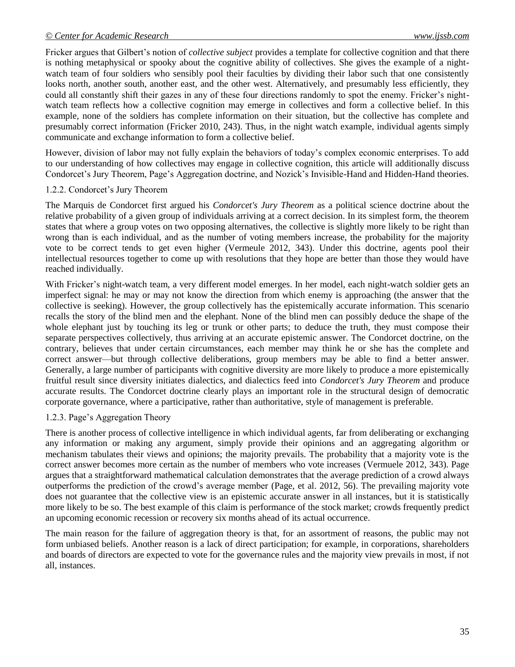Fricker argues that Gilbert's notion of *collective subject* provides a template for collective cognition and that there is nothing metaphysical or spooky about the cognitive ability of collectives. She gives the example of a nightwatch team of four soldiers who sensibly pool their faculties by dividing their labor such that one consistently looks north, another south, another east, and the other west. Alternatively, and presumably less efficiently, they could all constantly shift their gazes in any of these four directions randomly to spot the enemy. Fricker's nightwatch team reflects how a collective cognition may emerge in collectives and form a collective belief. In this example, none of the soldiers has complete information on their situation, but the collective has complete and presumably correct information (Fricker 2010, 243). Thus, in the night watch example, individual agents simply communicate and exchange information to form a collective belief.

However, division of labor may not fully explain the behaviors of today's complex economic enterprises. To add to our understanding of how collectives may engage in collective cognition, this article will additionally discuss Condorcet's Jury Theorem, Page's Aggregation doctrine, and Nozick's Invisible-Hand and Hidden-Hand theories.

## 1.2.2. Condorcet's Jury Theorem

The Marquis de Condorcet first argued his *Condorcet's Jury Theorem* as a political science doctrine about the relative probability of a given group of individuals arriving at a correct decision. In its simplest form, the theorem states that where a group votes on two opposing alternatives, the collective is slightly more likely to be right than wrong than is each individual, and as the number of voting members increase, the probability for the majority vote to be correct tends to get even higher (Vermeule 2012, 343). Under this doctrine, agents pool their intellectual resources together to come up with resolutions that they hope are better than those they would have reached individually.

With Fricker's night-watch team, a very different model emerges. In her model, each night-watch soldier gets an imperfect signal: he may or may not know the direction from which enemy is approaching (the answer that the collective is seeking). However, the group collectively has the epistemically accurate information. This scenario recalls the story of the blind men and the elephant. None of the blind men can possibly deduce the shape of the whole elephant just by touching its leg or trunk or other parts; to deduce the truth, they must compose their separate perspectives collectively, thus arriving at an accurate epistemic answer. The Condorcet doctrine, on the contrary, believes that under certain circumstances, each member may think he or she has the complete and correct answer—but through collective deliberations, group members may be able to find a better answer. Generally, a large number of participants with cognitive diversity are more likely to produce a more epistemically fruitful result since diversity initiates dialectics, and dialectics feed into *Condorcet's Jury Theorem* and produce accurate results. The Condorcet doctrine clearly plays an important role in the structural design of democratic corporate governance, where a participative, rather than authoritative, style of management is preferable.

# 1.2.3. Page's Aggregation Theory

There is another process of collective intelligence in which individual agents, far from deliberating or exchanging any information or making any argument, simply provide their opinions and an aggregating algorithm or mechanism tabulates their views and opinions; the majority prevails. The probability that a majority vote is the correct answer becomes more certain as the number of members who vote increases (Vermuele 2012, 343). Page argues that a straightforward mathematical calculation demonstrates that the average prediction of a crowd always outperforms the prediction of the crowd's average member (Page, et al. 2012, 56). The prevailing majority vote does not guarantee that the collective view is an epistemic accurate answer in all instances, but it is statistically more likely to be so. The best example of this claim is performance of the stock market; crowds frequently predict an upcoming economic recession or recovery six months ahead of its actual occurrence.

The main reason for the failure of aggregation theory is that, for an assortment of reasons, the public may not form unbiased beliefs. Another reason is a lack of direct participation; for example, in corporations, shareholders and boards of directors are expected to vote for the governance rules and the majority view prevails in most, if not all, instances.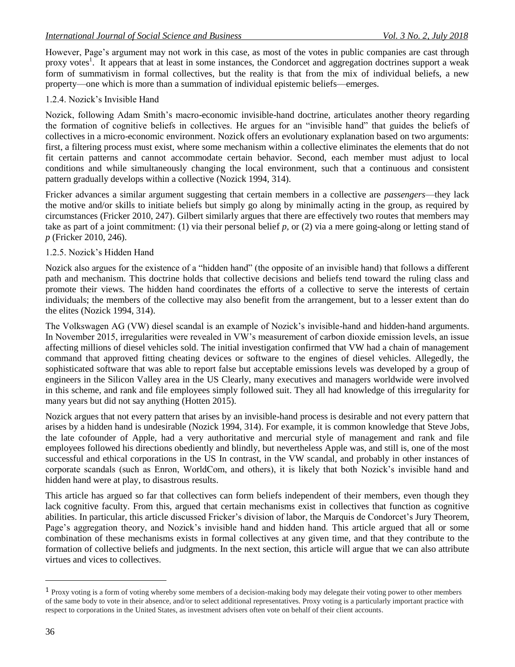However, Page's argument may not work in this case, as most of the votes in public companies are cast through proxy votes<sup>1</sup>. It appears that at least in some instances, the Condorcet and aggregation doctrines support a weak form of summativism in formal collectives, but the reality is that from the mix of individual beliefs, a new property—one which is more than a summation of individual epistemic beliefs—emerges.

# 1.2.4. Nozick's Invisible Hand

Nozick, following Adam Smith's macro-economic invisible-hand doctrine, articulates another theory regarding the formation of cognitive beliefs in collectives. He argues for an "invisible hand" that guides the beliefs of collectives in a micro-economic environment. Nozick offers an evolutionary explanation based on two arguments: first, a filtering process must exist, where some mechanism within a collective eliminates the elements that do not fit certain patterns and cannot accommodate certain behavior. Second, each member must adjust to local conditions and while simultaneously changing the local environment, such that a continuous and consistent pattern gradually develops within a collective (Nozick 1994, 314).

Fricker advances a similar argument suggesting that certain members in a collective are *passengers*—they lack the motive and/or skills to initiate beliefs but simply go along by minimally acting in the group, as required by circumstances (Fricker 2010, 247). Gilbert similarly argues that there are effectively two routes that members may take as part of a joint commitment: (1) via their personal belief *p,* or (2) via a mere going-along or letting stand of *p* (Fricker 2010, 246).

# 1.2.5. Nozick's Hidden Hand

Nozick also argues for the existence of a "hidden hand" (the opposite of an invisible hand) that follows a different path and mechanism. This doctrine holds that collective decisions and beliefs tend toward the ruling class and promote their views. The hidden hand coordinates the efforts of a collective to serve the interests of certain individuals; the members of the collective may also benefit from the arrangement, but to a lesser extent than do the elites (Nozick 1994, 314).

The Volkswagen AG (VW) diesel scandal is an example of Nozick's invisible-hand and hidden-hand arguments. In November 2015, irregularities were revealed in VW's measurement of carbon dioxide emission levels, an issue affecting millions of diesel vehicles sold. The initial investigation confirmed that VW had a chain of management command that approved fitting cheating devices or software to the engines of diesel vehicles. Allegedly, the sophisticated software that was able to report false but acceptable emissions levels was developed by a group of engineers in the Silicon Valley area in the US Clearly, many executives and managers worldwide were involved in this scheme, and rank and file employees simply followed suit. They all had knowledge of this irregularity for many years but did not say anything (Hotten 2015).

Nozick argues that not every pattern that arises by an invisible-hand process is desirable and not every pattern that arises by a hidden hand is undesirable (Nozick 1994, 314). For example, it is common knowledge that Steve Jobs, the late cofounder of Apple, had a very authoritative and mercurial style of management and rank and file employees followed his directions obediently and blindly, but nevertheless Apple was, and still is, one of the most successful and ethical corporations in the US In contrast, in the VW scandal, and probably in other instances of corporate scandals (such as Enron, WorldCom, and others), it is likely that both Nozick's invisible hand and hidden hand were at play, to disastrous results.

This article has argued so far that collectives can form beliefs independent of their members, even though they lack cognitive faculty. From this, argued that certain mechanisms exist in collectives that function as cognitive abilities. In particular, this article discussed Fricker's division of labor, the Marquis de Condorcet's Jury Theorem, Page's aggregation theory, and Nozick's invisible hand and hidden hand. This article argued that all or some combination of these mechanisms exists in formal collectives at any given time, and that they contribute to the formation of collective beliefs and judgments. In the next section, this article will argue that we can also attribute virtues and vices to collectives.

 $\overline{a}$ 

<sup>&</sup>lt;sup>1</sup> Proxy voting is a form of voting whereby some members of a decision-making body may delegate their voting power to other members of the same body to vote in their absence, and/or to select additional representatives. Proxy voting is a particularly important practice with respect to corporations in the United States, as investment advisers often vote on behalf of their client accounts.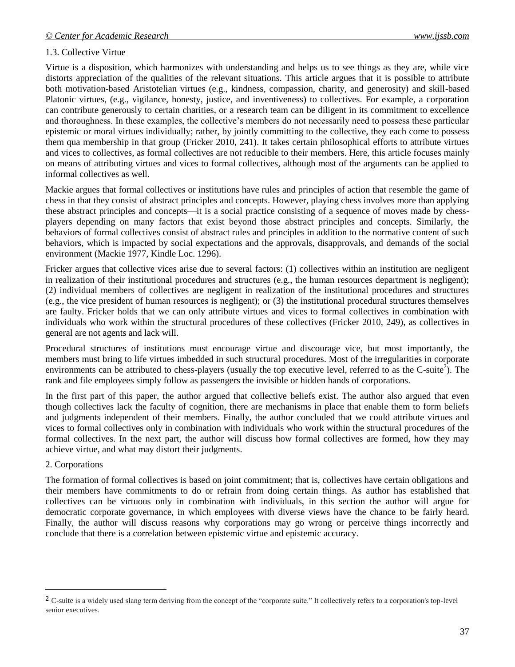## 1.3. Collective Virtue

Virtue is a disposition, which harmonizes with understanding and helps us to see things as they are, while vice distorts appreciation of the qualities of the relevant situations. This article argues that it is possible to attribute both motivation-based Aristotelian virtues (e.g., kindness, compassion, charity, and generosity) and skill-based Platonic virtues, (e.g., vigilance, honesty, justice, and inventiveness) to collectives. For example, a corporation can contribute generously to certain charities, or a research team can be diligent in its commitment to excellence and thoroughness. In these examples, the collective's members do not necessarily need to possess these particular epistemic or moral virtues individually; rather, by jointly committing to the collective, they each come to possess them qua membership in that group (Fricker 2010, 241). It takes certain philosophical efforts to attribute virtues and vices to collectives, as formal collectives are not reducible to their members. Here, this article focuses mainly on means of attributing virtues and vices to formal collectives, although most of the arguments can be applied to informal collectives as well.

Mackie argues that formal collectives or institutions have rules and principles of action that resemble the game of chess in that they consist of abstract principles and concepts. However, playing chess involves more than applying these abstract principles and concepts—it is a social practice consisting of a sequence of moves made by chessplayers depending on many factors that exist beyond those abstract principles and concepts. Similarly, the behaviors of formal collectives consist of abstract rules and principles in addition to the normative content of such behaviors, which is impacted by social expectations and the approvals, disapprovals, and demands of the social environment (Mackie 1977, Kindle Loc. 1296).

Fricker argues that collective vices arise due to several factors: (1) collectives within an institution are negligent in realization of their institutional procedures and structures (e.g., the human resources department is negligent); (2) individual members of collectives are negligent in realization of the institutional procedures and structures (e.g., the vice president of human resources is negligent); or (3) the institutional procedural structures themselves are faulty. Fricker holds that we can only attribute virtues and vices to formal collectives in combination with individuals who work within the structural procedures of these collectives (Fricker 2010, 249), as collectives in general are not agents and lack will.

Procedural structures of institutions must encourage virtue and discourage vice, but most importantly, the members must bring to life virtues imbedded in such structural procedures. Most of the irregularities in corporate environments can be attributed to chess-players (usually the top executive level, referred to as the C-suite<sup>2</sup>). The rank and file employees simply follow as passengers the invisible or hidden hands of corporations.

In the first part of this paper, the author argued that collective beliefs exist. The author also argued that even though collectives lack the faculty of cognition, there are mechanisms in place that enable them to form beliefs and judgments independent of their members. Finally, the author concluded that we could attribute virtues and vices to formal collectives only in combination with individuals who work within the structural procedures of the formal collectives. In the next part, the author will discuss how formal collectives are formed, how they may achieve virtue, and what may distort their judgments.

## 2. Corporations

l

The formation of formal collectives is based on joint commitment; that is, collectives have certain obligations and their members have commitments to do or refrain from doing certain things. As author has established that collectives can be virtuous only in combination with individuals, in this section the author will argue for democratic corporate governance, in which employees with diverse views have the chance to be fairly heard. Finally, the author will discuss reasons why corporations may go wrong or perceive things incorrectly and conclude that there is a correlation between epistemic virtue and epistemic accuracy.

<sup>&</sup>lt;sup>2</sup> C-suite is a widely used slang term deriving from the concept of the "corporate suite." It collectively refers to a corporation's top-level senior executives.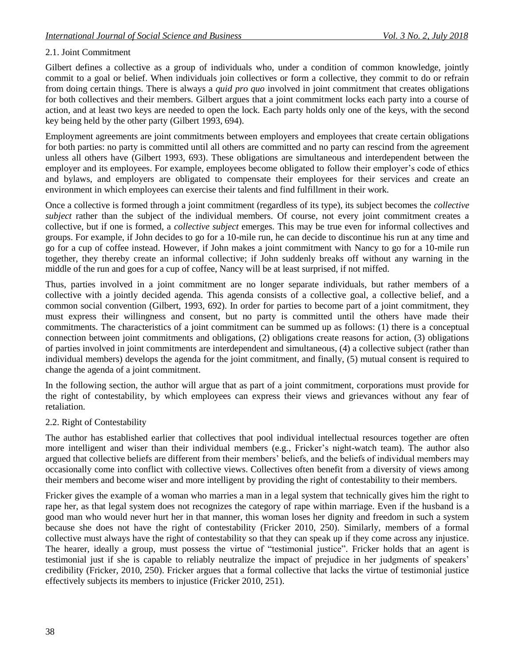## 2.1. Joint Commitment

Gilbert defines a collective as a group of individuals who, under a condition of common knowledge, jointly commit to a goal or belief. When individuals join collectives or form a collective, they commit to do or refrain from doing certain things. There is always a *quid pro quo* involved in joint commitment that creates obligations for both collectives and their members. Gilbert argues that a joint commitment locks each party into a course of action, and at least two keys are needed to open the lock. Each party holds only one of the keys, with the second key being held by the other party (Gilbert 1993, 694).

Employment agreements are joint commitments between employers and employees that create certain obligations for both parties: no party is committed until all others are committed and no party can rescind from the agreement unless all others have (Gilbert 1993, 693). These obligations are simultaneous and interdependent between the employer and its employees. For example, employees become obligated to follow their employer's code of ethics and bylaws, and employers are obligated to compensate their employees for their services and create an environment in which employees can exercise their talents and find fulfillment in their work.

Once a collective is formed through a joint commitment (regardless of its type), its subject becomes the *collective subject* rather than the subject of the individual members. Of course, not every joint commitment creates a collective, but if one is formed, a *collective subject* emerges. This may be true even for informal collectives and groups. For example, if John decides to go for a 10-mile run, he can decide to discontinue his run at any time and go for a cup of coffee instead. However, if John makes a joint commitment with Nancy to go for a 10-mile run together, they thereby create an informal collective; if John suddenly breaks off without any warning in the middle of the run and goes for a cup of coffee, Nancy will be at least surprised, if not miffed.

Thus, parties involved in a joint commitment are no longer separate individuals, but rather members of a collective with a jointly decided agenda. This agenda consists of a collective goal, a collective belief, and a common social convention (Gilbert, 1993, 692). In order for parties to become part of a joint commitment, they must express their willingness and consent, but no party is committed until the others have made their commitments. The characteristics of a joint commitment can be summed up as follows: (1) there is a conceptual connection between joint commitments and obligations, (2) obligations create reasons for action, (3) obligations of parties involved in joint commitments are interdependent and simultaneous, (4) a collective subject (rather than individual members) develops the agenda for the joint commitment, and finally, (5) mutual consent is required to change the agenda of a joint commitment.

In the following section, the author will argue that as part of a joint commitment, corporations must provide for the right of contestability, by which employees can express their views and grievances without any fear of retaliation.

## 2.2. Right of Contestability

The author has established earlier that collectives that pool individual intellectual resources together are often more intelligent and wiser than their individual members (e.g., Fricker's night-watch team). The author also argued that collective beliefs are different from their members' beliefs, and the beliefs of individual members may occasionally come into conflict with collective views. Collectives often benefit from a diversity of views among their members and become wiser and more intelligent by providing the right of contestability to their members.

Fricker gives the example of a woman who marries a man in a legal system that technically gives him the right to rape her, as that legal system does not recognizes the category of rape within marriage. Even if the husband is a good man who would never hurt her in that manner, this woman loses her dignity and freedom in such a system because she does not have the right of contestability (Fricker 2010, 250). Similarly, members of a formal collective must always have the right of contestability so that they can speak up if they come across any injustice. The hearer, ideally a group, must possess the virtue of "testimonial justice". Fricker holds that an agent is testimonial just if she is capable to reliably neutralize the impact of prejudice in her judgments of speakers' credibility (Fricker, 2010, 250). Fricker argues that a formal collective that lacks the virtue of testimonial justice effectively subjects its members to injustice (Fricker 2010, 251).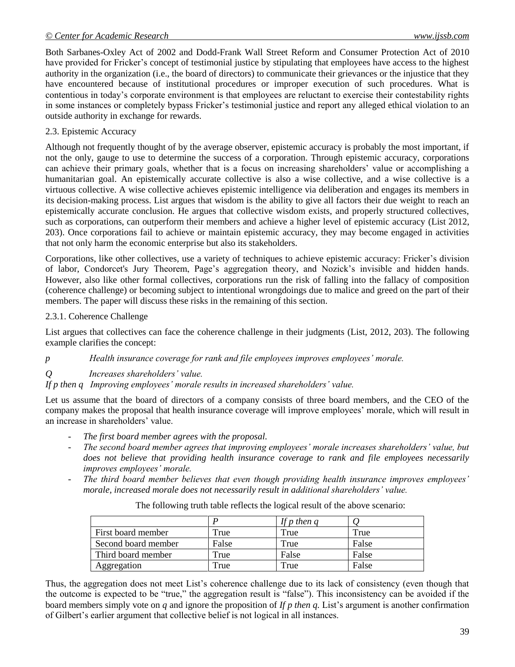Both Sarbanes-Oxley Act of 2002 and Dodd-Frank Wall Street Reform and Consumer Protection Act of 2010 have provided for Fricker's concept of testimonial justice by stipulating that employees have access to the highest authority in the organization (i.e., the board of directors) to communicate their grievances or the injustice that they have encountered because of institutional procedures or improper execution of such procedures. What is contentious in today's corporate environment is that employees are reluctant to exercise their contestability rights in some instances or completely bypass Fricker's testimonial justice and report any alleged ethical violation to an outside authority in exchange for rewards.

## 2.3. Epistemic Accuracy

Although not frequently thought of by the average observer, epistemic accuracy is probably the most important, if not the only, gauge to use to determine the success of a corporation. Through epistemic accuracy, corporations can achieve their primary goals, whether that is a focus on increasing shareholders' value or accomplishing a humanitarian goal. An epistemically accurate collective is also a wise collective, and a wise collective is a virtuous collective. A wise collective achieves epistemic intelligence via deliberation and engages its members in its decision-making process. List argues that wisdom is the ability to give all factors their due weight to reach an epistemically accurate conclusion. He argues that collective wisdom exists, and properly structured collectives, such as corporations, can outperform their members and achieve a higher level of epistemic accuracy (List 2012, 203). Once corporations fail to achieve or maintain epistemic accuracy, they may become engaged in activities that not only harm the economic enterprise but also its stakeholders.

Corporations, like other collectives, use a variety of techniques to achieve epistemic accuracy: Fricker's division of labor, Condorcet's Jury Theorem, Page's aggregation theory, and Nozick's invisible and hidden hands. However, also like other formal collectives, corporations run the risk of falling into the fallacy of composition (coherence challenge) or becoming subject to intentional wrongdoings due to malice and greed on the part of their members. The paper will discuss these risks in the remaining of this section.

## 2.3.1. Coherence Challenge

List argues that collectives can face the coherence challenge in their judgments (List, 2012, 203). The following example clarifies the concept:

*p Health insurance coverage for rank and file employees improves employees' morale.*

*Q Increases shareholders' value.*

*If p then q Improving employees' morale results in increased shareholders' value.*

Let us assume that the board of directors of a company consists of three board members, and the CEO of the company makes the proposal that health insurance coverage will improve employees' morale, which will result in an increase in shareholders' value.

- The first board member agrees with the proposal.
- *The second board member agrees that improving employees' morale increases shareholders' value, but does not believe that providing health insurance coverage to rank and file employees necessarily improves employees' morale.*
- *The third board member believes that even though providing health insurance improves employees' morale, increased morale does not necessarily result in additional shareholders' value.*

|                     |       | If p then $q$ |       |
|---------------------|-------|---------------|-------|
| First board member  | True  | True          | True  |
| Second board member | False | True          | False |
| Third board member  | True  | False         | False |
| Aggregation         | True  | True          | False |

The following truth table reflects the logical result of the above scenario:

Thus, the aggregation does not meet List's coherence challenge due to its lack of consistency (even though that the outcome is expected to be "true," the aggregation result is "false"). This inconsistency can be avoided if the board members simply vote on *q* and ignore the proposition of *If p then q.* List's argument is another confirmation of Gilbert's earlier argument that collective belief is not logical in all instances.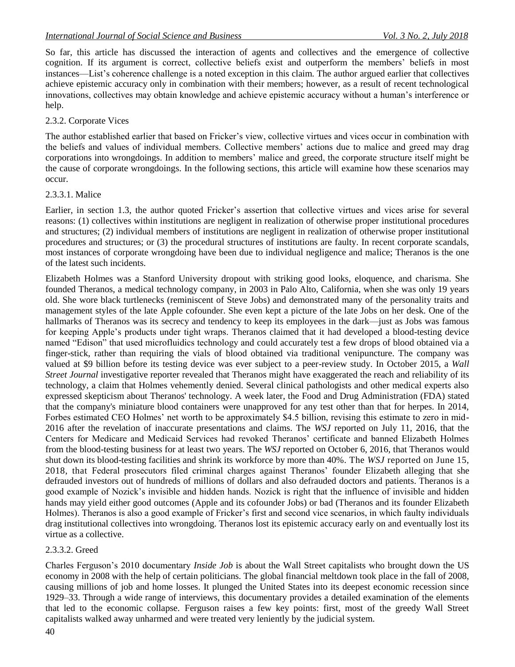So far, this article has discussed the interaction of agents and collectives and the emergence of collective cognition. If its argument is correct, collective beliefs exist and outperform the members' beliefs in most instances—List's coherence challenge is a noted exception in this claim. The author argued earlier that collectives achieve epistemic accuracy only in combination with their members; however, as a result of recent technological innovations, collectives may obtain knowledge and achieve epistemic accuracy without a human's interference or help.

# 2.3.2. Corporate Vices

The author established earlier that based on Fricker's view, collective virtues and vices occur in combination with the beliefs and values of individual members. Collective members' actions due to malice and greed may drag corporations into wrongdoings. In addition to members' malice and greed, the corporate structure itself might be the cause of corporate wrongdoings. In the following sections, this article will examine how these scenarios may occur.

# 2.3.3.1. Malice

Earlier, in section 1.3, the author quoted Fricker's assertion that collective virtues and vices arise for several reasons: (1) collectives within institutions are negligent in realization of otherwise proper institutional procedures and structures; (2) individual members of institutions are negligent in realization of otherwise proper institutional procedures and structures; or (3) the procedural structures of institutions are faulty. In recent corporate scandals, most instances of corporate wrongdoing have been due to individual negligence and malice; Theranos is the one of the latest such incidents.

Elizabeth Holmes was a Stanford University dropout with striking good looks, eloquence, and charisma. She founded Theranos, a medical technology company, in 2003 in Palo Alto, California, when she was only 19 years old. She wore black turtlenecks (reminiscent of Steve Jobs) and demonstrated many of the personality traits and management styles of the late Apple cofounder. She even kept a picture of the late Jobs on her desk. One of the hallmarks of Theranos was its secrecy and tendency to keep its employees in the dark—just as Jobs was famous for keeping Apple's products under tight wraps. Theranos claimed that it had developed a blood-testing device named "Edison" that used microfluidics technology and could accurately test a few drops of blood obtained via a finger-stick, rather than requiring the vials of blood obtained via traditional venipuncture. The company was valued at \$9 billion before its testing device was ever subject to a peer-review study. In October 2015, a *Wall Street Journal* investigative reporter revealed that Theranos might have exaggerated the reach and reliability of its technology, a claim that Holmes vehemently denied. Several clinical pathologists and other medical experts also expressed skepticism about Theranos' technology. A week later, the Food and Drug Administration (FDA) stated that the company's miniature blood containers were unapproved for any test other than that for herpes. In 2014, Forbes estimated CEO Holmes' net worth to be approximately \$4.5 billion, revising this estimate to zero in mid-2016 after the revelation of inaccurate presentations and claims. The *WSJ* reported on July 11, 2016, that the Centers for Medicare and Medicaid Services had revoked Theranos' certificate and banned Elizabeth Holmes from the blood-testing business for at least two years. The *WSJ* reported on October 6, 2016, that Theranos would shut down its blood-testing facilities and shrink its workforce by more than 40%. The *WSJ* reported on June 15, 2018, that Federal prosecutors filed criminal charges against Theranos' founder Elizabeth alleging that she defrauded investors out of hundreds of millions of dollars and also defrauded doctors and patients. Theranos is a good example of Nozick's invisible and hidden hands. Nozick is right that the influence of invisible and hidden hands may yield either good outcomes (Apple and its cofounder Jobs) or bad (Theranos and its founder Elizabeth Holmes). Theranos is also a good example of Fricker's first and second vice scenarios, in which faulty individuals drag institutional collectives into wrongdoing. Theranos lost its epistemic accuracy early on and eventually lost its virtue as a collective.

# 2.3.3.2. Greed

Charles Ferguson's 2010 documentary *Inside Job* is about the Wall Street capitalists who brought down the US economy in 2008 with the help of certain politicians. The global financial meltdown took place in the fall of 2008, causing millions of job and home losses. It plunged the United States into its deepest economic recession since 1929–33. Through a wide range of interviews, this documentary provides a detailed examination of the elements that led to the economic collapse. Ferguson raises a few key points: first, most of the greedy Wall Street capitalists walked away unharmed and were treated very leniently by the judicial system.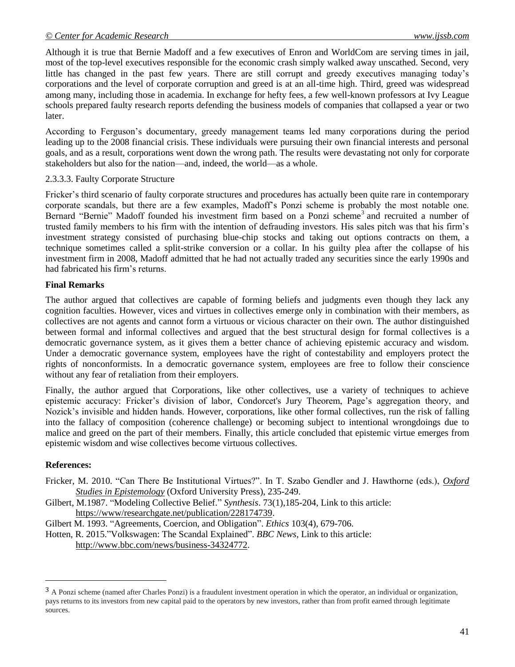Although it is true that Bernie Madoff and a few executives of Enron and WorldCom are serving times in jail, most of the top-level executives responsible for the economic crash simply walked away unscathed. Second, very little has changed in the past few years. There are still corrupt and greedy executives managing today's corporations and the level of corporate corruption and greed is at an all-time high. Third, greed was widespread among many, including those in academia. In exchange for hefty fees, a few well-known professors at Ivy League schools prepared faulty research reports defending the business models of companies that collapsed a year or two later.

According to Ferguson's documentary, greedy management teams led many corporations during the period leading up to the 2008 financial crisis. These individuals were pursuing their own financial interests and personal goals, and as a result, corporations went down the wrong path. The results were devastating not only for corporate stakeholders but also for the nation—and, indeed, the world—as a whole.

## 2.3.3.3. Faulty Corporate Structure

Fricker's third scenario of faulty corporate structures and procedures has actually been quite rare in contemporary corporate scandals, but there are a few examples, Madoff's Ponzi scheme is probably the most notable one. Bernard "Bernie" Madoff founded his investment firm based on a Ponzi scheme<sup>3</sup> and recruited a number of trusted family members to his firm with the intention of defrauding investors. His sales pitch was that his firm's investment strategy consisted of purchasing blue-chip stocks and taking out options contracts on them, a technique sometimes called a split-strike conversion or a collar. In his guilty plea after the collapse of his investment firm in 2008, Madoff admitted that he had not actually traded any securities since the early 1990s and had fabricated his firm's returns.

# **Final Remarks**

The author argued that collectives are capable of forming beliefs and judgments even though they lack any cognition faculties. However, vices and virtues in collectives emerge only in combination with their members, as collectives are not agents and cannot form a virtuous or vicious character on their own. The author distinguished between formal and informal collectives and argued that the best structural design for formal collectives is a democratic governance system, as it gives them a better chance of achieving epistemic accuracy and wisdom. Under a democratic governance system, employees have the right of contestability and employers protect the rights of nonconformists. In a democratic governance system, employees are free to follow their conscience without any fear of retaliation from their employers.

Finally, the author argued that Corporations, like other collectives, use a variety of techniques to achieve epistemic accuracy: Fricker's division of labor, Condorcet's Jury Theorem, Page's aggregation theory, and Nozick's invisible and hidden hands. However, corporations, like other formal collectives, run the risk of falling into the fallacy of composition (coherence challenge) or becoming subject to intentional wrongdoings due to malice and greed on the part of their members. Finally, this article concluded that epistemic virtue emerges from epistemic wisdom and wise collectives become virtuous collectives.

# **References:**

 $\overline{a}$ 

- Fricker, M. 2010. "Can There Be Institutional Virtues?". In T. Szabo Gendler and J. Hawthorne (eds.), *Oxford [Studies in Epistemology](http://philpapers.org/rec/SZAOSI-2)* (Oxford University Press), 235-249.
- Gilbert, M.1987. "Modeling Collective Belief." *Synthesis*. 73(1),185-204, Link to this article: [https://www/researchgate.net/publication/228174739.](https://www/researchgate.net/publication/228174739)

Gilbert M. 1993. "Agreements, Coercion, and Obligation". *Ethics* 103(4), 679-706.

Hotten, R. 2015."Volkswagen: The Scandal Explained". *BBC News*, Link to this article: [http://www.bbc.com/news/business-34324772.](http://www.bbc.com/news/business-34324772)

<sup>3</sup> A Ponzi scheme (named after Charles Ponzi) is a fraudulent investment operation in which the operator, an individual or organization, pays returns to its investors from new capital paid to the operators by new investors, rather than from profit earned through legitimate sources.